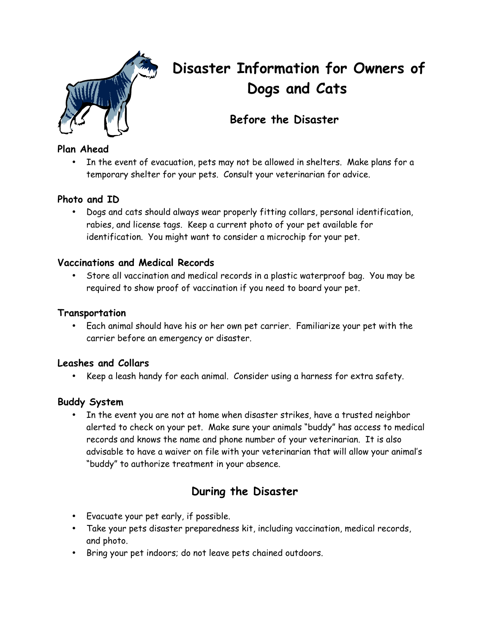

# **Disaster Information for Owners of Dogs and Cats**

# **Before the Disaster**

# **Plan Ahead**

• In the event of evacuation, pets may not be allowed in shelters. Make plans for a temporary shelter for your pets. Consult your veterinarian for advice.

## **Photo and ID**

• Dogs and cats should always wear properly fitting collars, personal identification, rabies, and license tags. Keep a current photo of your pet available for identification. You might want to consider a microchip for your pet.

## **Vaccinations and Medical Records**

• Store all vaccination and medical records in a plastic waterproof bag. You may be required to show proof of vaccination if you need to board your pet.

## **Transportation**

• Each animal should have his or her own pet carrier. Familiarize your pet with the carrier before an emergency or disaster.

#### **Leashes and Collars**

• Keep a leash handy for each animal. Consider using a harness for extra safety.

#### **Buddy System**

• In the event you are not at home when disaster strikes, have a trusted neighbor alerted to check on your pet. Make sure your animals "buddy" has access to medical records and knows the name and phone number of your veterinarian. It is also advisable to have a waiver on file with your veterinarian that will allow your animal's "buddy" to authorize treatment in your absence.

# **During the Disaster**

- Evacuate your pet early, if possible.
- Take your pets disaster preparedness kit, including vaccination, medical records, and photo.
- Bring your pet indoors; do not leave pets chained outdoors.